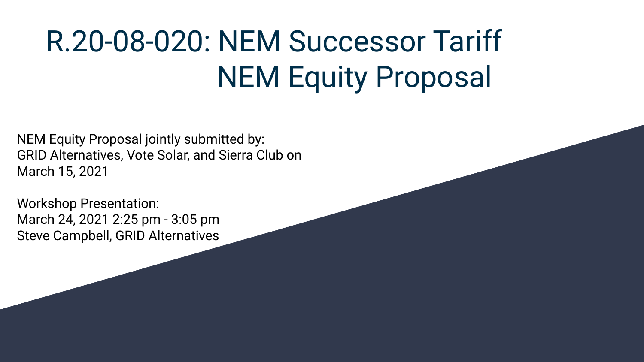# R.20-08-020: NEM Successor Tariff NEM Equity Proposal

NEM Equity Proposal jointly submitted by: GRID Alternatives, Vote Solar, and Sierra Club on March 15, 2021

Workshop Presentation: March 24, 2021 2:25 pm - 3:05 pm Steve Campbell, GRID Alternatives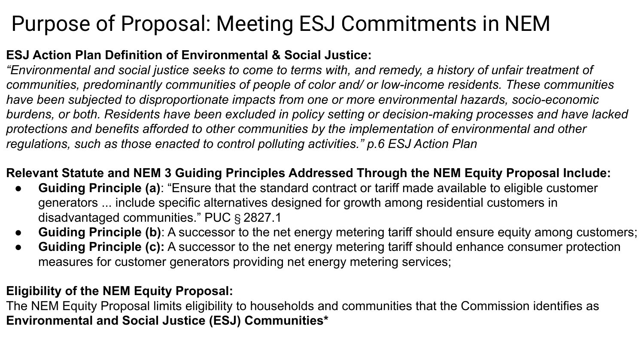## Purpose of Proposal: Meeting ESJ Commitments in NEM

### **ESJ Action Plan Definition of Environmental & Social Justice:**

*"Environmental and social justice seeks to come to terms with, and remedy, a history of unfair treatment of communities, predominantly communities of people of color and/ or low-income residents. These communities have been subjected to disproportionate impacts from one or more environmental hazards, socio-economic burdens, or both. Residents have been excluded in policy setting or decision-making processes and have lacked protections and benefits afforded to other communities by the implementation of environmental and other regulations, such as those enacted to control polluting activities." p.6 ESJ Action Plan*

### **Relevant Statute and NEM 3 Guiding Principles Addressed Through the NEM Equity Proposal Include:**

- **Guiding Principle (a)**: "Ensure that the standard contract or tariff made available to eligible customer generators ... include specific alternatives designed for growth among residential customers in disadvantaged communities." PUC § 2827.1
- **Guiding Principle (b)**: A successor to the net energy metering tariff should ensure equity among customers;
- **Guiding Principle (c):** A successor to the net energy metering tariff should enhance consumer protection measures for customer generators providing net energy metering services;

### **Eligibility of the NEM Equity Proposal:**

The NEM Equity Proposal limits eligibility to households and communities that the Commission identifies as **Environmental and Social Justice (ESJ) Communities\***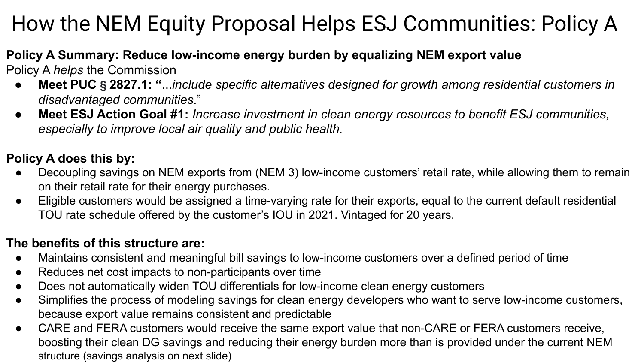# How the NEM Equity Proposal Helps ESJ Communities: Policy A

### **Policy A Summary: Reduce low-income energy burden by equalizing NEM export value**

Policy A *helps* the Commission

- **Meet PUC § 2827.1: "**...*include specific alternatives designed for growth among residential customers in disadvantaged communities*."
- **Meet ESJ Action Goal #1:** *Increase investment in clean energy resources to benefit ESJ communities, especially to improve local air quality and public health.*

### **Policy A does this by:**

- Decoupling savings on NEM exports from (NEM 3) low-income customers' retail rate, while allowing them to remain on their retail rate for their energy purchases.
- Eligible customers would be assigned a time-varying rate for their exports, equal to the current default residential TOU rate schedule offered by the customer's IOU in 2021. Vintaged for 20 years.

### **The benefits of this structure are:**

- Maintains consistent and meaningful bill savings to low-income customers over a defined period of time
- Reduces net cost impacts to non-participants over time
- Does not automatically widen TOU differentials for low-income clean energy customers
- Simplifies the process of modeling savings for clean energy developers who want to serve low-income customers, because export value remains consistent and predictable
- CARE and FERA customers would receive the same export value that non-CARE or FERA customers receive, boosting their clean DG savings and reducing their energy burden more than is provided under the current NEM structure (savings analysis on next slide)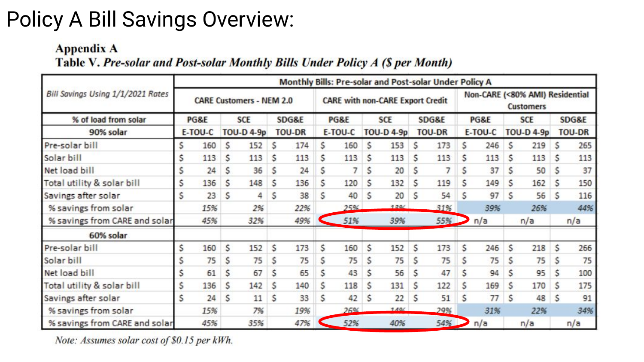### Policy A Bill Savings Overview:

#### **Appendix A**

#### Table V. Pre-solar and Post-solar Monthly Bills Under Policy A (\$ per Month)

| Bill Savings Using 1/1/2021 Rates<br>% of load from solar<br>90% solar | Monthly Bills: Pre-solar and Post-solar Under Policy A |     |                                 |     |                        |     |                                         |     |                                 |      |                        |     |                                                     |     |                                 |     |                        |     |
|------------------------------------------------------------------------|--------------------------------------------------------|-----|---------------------------------|-----|------------------------|-----|-----------------------------------------|-----|---------------------------------|------|------------------------|-----|-----------------------------------------------------|-----|---------------------------------|-----|------------------------|-----|
|                                                                        | <b>CARE Customers - NEM 2.0</b>                        |     |                                 |     |                        |     | <b>CARE with non-CARE Export Credit</b> |     |                                 |      |                        |     | Non-CARE (<80% AMI) Residential<br><b>Customers</b> |     |                                 |     |                        |     |
|                                                                        | PG&E<br>E-TOU-C                                        |     | <b>SCE</b><br><b>TOU-D 4-9p</b> |     | SDG&E<br><b>TOU-DR</b> |     | PG&E<br>E-TOU-C                         |     | <b>SCE</b><br><b>TOU-D 4-9p</b> |      | SDG&E<br><b>TOU-DR</b> |     | PG&E<br>E-TOU-C                                     |     | <b>SCE</b><br><b>TOU-D 4-9p</b> |     | SDG&E<br><b>TOU-DR</b> |     |
|                                                                        |                                                        |     |                                 |     |                        |     |                                         |     |                                 |      |                        |     |                                                     |     |                                 |     |                        |     |
| Solar bill                                                             | s                                                      | 113 | S                               | 113 | \$                     | 113 | S                                       | 113 | S                               | 113  | \$                     | 113 | S                                                   | 113 | S                               | 113 | S                      | 113 |
| Net load bill                                                          | s                                                      | 24  | \$                              | 36  | S                      | 24  | \$                                      | 7   | S                               | 20   | S                      | 7   | S                                                   | 37  | S                               | 50  | S                      | 37  |
| Total utility & solar bill                                             |                                                        | 136 | s                               | 148 | S                      | 136 | \$                                      | 120 | s                               | 132  | S                      | 119 | s                                                   | 149 | S                               | 162 | s                      | 150 |
| Savings after solar                                                    | \$                                                     | 23  | s                               | 4   | S                      | 38  | \$                                      | 40  | S                               | 20   | Ś                      | 54  | S                                                   | 97  | S                               | 56  | S                      | 116 |
| % savings from solar                                                   |                                                        | 15% |                                 | 2%  |                        | 22% |                                         | 25% |                                 | 1200 |                        | 31% |                                                     | 39% |                                 | 26% |                        | 44% |
| % savings from CARE and solar                                          | 45%                                                    |     | 32%                             |     | 49%                    |     | 51%                                     |     | 39%                             |      | 55%                    |     | n/a                                                 |     | n/a                             |     | n/a                    |     |
| 60% solar                                                              |                                                        |     |                                 |     |                        |     |                                         |     |                                 |      |                        |     |                                                     |     |                                 |     |                        |     |
| Pre-solar bill                                                         | \$                                                     | 160 | \$                              | 152 | \$                     | 173 | \$                                      | 160 | \$                              | 152  | \$                     | 173 | \$                                                  | 246 | S                               | 218 | \$.                    | 266 |
| Solar bill                                                             |                                                        | 75  | S                               | 75  | S                      | 75  | Ś                                       | 75  | S                               | 75   | Ś                      | 75  | S                                                   | 75  | S                               | 75  | S                      | 75  |
| Net load bill                                                          | s                                                      | 61  | \$                              | 67  | Ś                      | 65  | \$                                      | 43  | S                               | 56   | \$                     | 47  | S                                                   | 94  | Ś                               | 95  | s                      | 100 |
| Total utility & solar bill                                             | s                                                      | 136 | s                               | 142 | \$                     | 140 | \$                                      | 118 | S                               | 131  | \$                     | 122 | \$                                                  | 169 | S                               | 170 | S                      | 175 |
| Savings after solar                                                    | S                                                      | 24  | S                               | 11  | \$                     | 33  | \$                                      | 42  | S                               | 22   | Ś                      | 51  | Ś                                                   | 77  | S                               | 48  | S                      | 91  |
| % savings from solar                                                   |                                                        | 15% |                                 | 7%  |                        | 19% |                                         | 26% |                                 | 1101 |                        | 29% |                                                     | 31% |                                 | 22% |                        | 34% |
| % savings from CARE and solar                                          |                                                        | 45% |                                 | 35% |                        | 47% |                                         | 52% |                                 | 40%  |                        | 54% |                                                     | n/a |                                 | n/a |                        | n/a |

Note: Assumes solar cost of \$0.15 per kWh.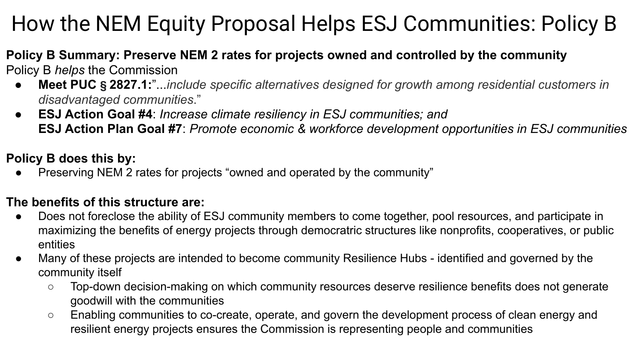# How the NEM Equity Proposal Helps ESJ Communities: Policy B

#### **Policy B Summary: Preserve NEM 2 rates for projects owned and controlled by the community** Policy B *helps* the Commission

- **Meet PUC § 2827.1:**"...*include specific alternatives designed for growth among residential customers in disadvantaged communities*."
- **ESJ Action Goal #4**: *Increase climate resiliency in ESJ communities; and* **ESJ Action Plan Goal #7**: *Promote economic & workforce development opportunities in ESJ communities*

### **Policy B does this by:**

Preserving NEM 2 rates for projects "owned and operated by the community"

#### **The benefits of this structure are:**

- Does not foreclose the ability of ESJ community members to come together, pool resources, and participate in maximizing the benefits of energy projects through democratric structures like nonprofits, cooperatives, or public entities
- Many of these projects are intended to become community Resilience Hubs identified and governed by the community itself
	- Top-down decision-making on which community resources deserve resilience benefits does not generate goodwill with the communities
	- Enabling communities to co-create, operate, and govern the development process of clean energy and resilient energy projects ensures the Commission is representing people and communities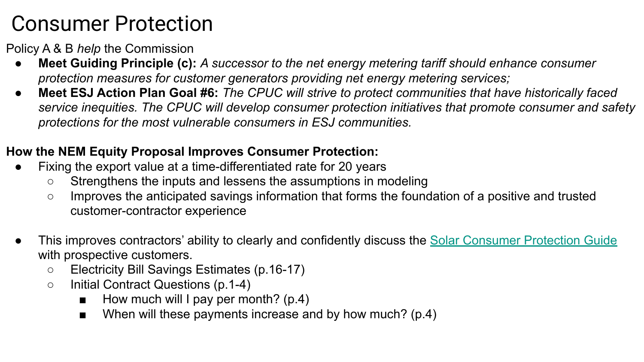### Consumer Protection

Policy A & B *help* the Commission

- **Meet Guiding Principle (c):** A successor to the net energy metering tariff should enhance consumer *protection measures for customer generators providing net energy metering services;*
- **Meet ESJ Action Plan Goal #6:** *The CPUC will strive to protect communities that have historically faced service inequities. The CPUC will develop consumer protection initiatives that promote consumer and safety protections for the most vulnerable consumers in ESJ communities.*

### **How the NEM Equity Proposal Improves Consumer Protection:**

- Fixing the export value at a time-differentiated rate for 20 years
	- Strengthens the inputs and lessens the assumptions in modeling
	- Improves the anticipated savings information that forms the foundation of a positive and trusted customer-contractor experience
- This improves contractors' ability to clearly and confidently discuss the [Solar Consumer Protection Guide](https://www.cpuc.ca.gov/uploadedFiles/CPUC_Public_Website/Content/Utilities_and_Industries/Energy_-_Electricity_and_Natural_Gas/Solar%20Consumer%20Protection%20Guide%202021_English_v2.pdf) with prospective customers.
	- Electricity Bill Savings Estimates (p.16-17)
	- Initial Contract Questions (p.1-4)
		- $\blacksquare$  How much will I pay per month? (p.4)
		- When will these payments increase and by how much? (p.4)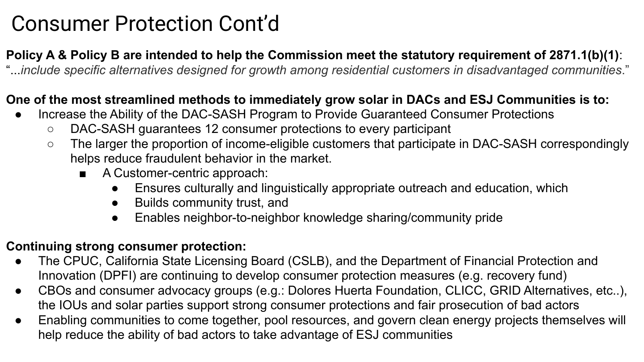### Consumer Protection Cont'd

### **Policy A & Policy B are intended to help the Commission meet the statutory requirement of 2871.1(b)(1)**:

"...*include specific alternatives designed for growth among residential customers in disadvantaged communities*."

#### **One of the most streamlined methods to immediately grow solar in DACs and ESJ Communities is to:**

- Increase the Ability of the DAC-SASH Program to Provide Guaranteed Consumer Protections
	- DAC-SASH guarantees 12 consumer protections to every participant
	- The larger the proportion of income-eligible customers that participate in DAC-SASH correspondingly helps reduce fraudulent behavior in the market.
		- A Customer-centric approach:
			- Ensures culturally and linguistically appropriate outreach and education, which
			- Builds community trust, and
			- Enables neighbor-to-neighbor knowledge sharing/community pride

### **Continuing strong consumer protection:**

- The CPUC, California State Licensing Board (CSLB), and the Department of Financial Protection and Innovation (DPFI) are continuing to develop consumer protection measures (e.g. recovery fund)
- CBOs and consumer advocacy groups (e.g.: Dolores Huerta Foundation, CLICC, GRID Alternatives, etc..), the IOUs and solar parties support strong consumer protections and fair prosecution of bad actors
- Enabling communities to come together, pool resources, and govern clean energy projects themselves will help reduce the ability of bad actors to take advantage of ESJ communities